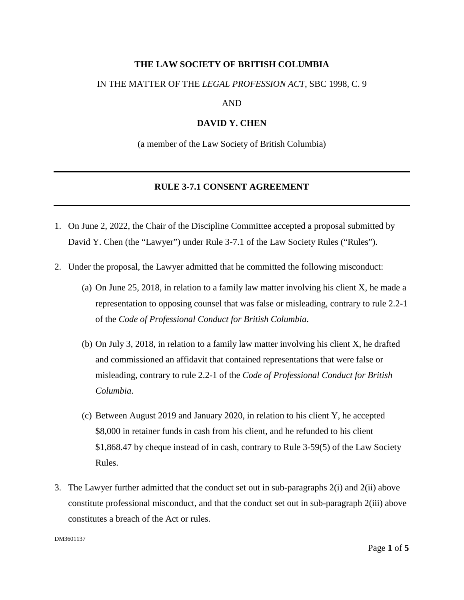### **THE LAW SOCIETY OF BRITISH COLUMBIA**

#### IN THE MATTER OF THE *LEGAL PROFESSION ACT*, SBC 1998, C. 9

#### AND

#### **DAVID Y. CHEN**

(a member of the Law Society of British Columbia)

### **RULE 3-7.1 CONSENT AGREEMENT**

- 1. On June 2, 2022, the Chair of the Discipline Committee accepted a proposal submitted by David Y. Chen (the "Lawyer") under Rule 3-7.1 of the Law Society Rules ("Rules").
- 2. Under the proposal, the Lawyer admitted that he committed the following misconduct:
	- (a) On June 25, 2018, in relation to a family law matter involving his client X, he made a representation to opposing counsel that was false or misleading, contrary to rule 2.2-1 of the *Code of Professional Conduct for British Columbia*.
	- (b) On July 3, 2018, in relation to a family law matter involving his client X, he drafted and commissioned an affidavit that contained representations that were false or misleading, contrary to rule 2.2-1 of the *Code of Professional Conduct for British Columbia*.
	- (c) Between August 2019 and January 2020, in relation to his client Y, he accepted \$8,000 in retainer funds in cash from his client, and he refunded to his client \$1,868.47 by cheque instead of in cash, contrary to Rule 3-59(5) of the Law Society Rules.
- 3. The Lawyer further admitted that the conduct set out in sub-paragraphs 2(i) and 2(ii) above constitute professional misconduct, and that the conduct set out in sub-paragraph 2(iii) above constitutes a breach of the Act or rules.

DM3601137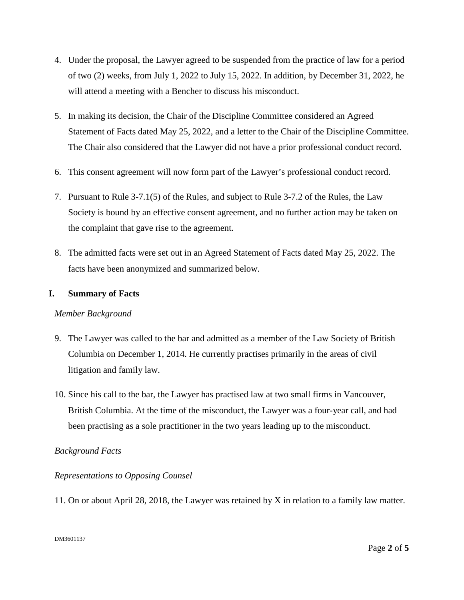- 4. Under the proposal, the Lawyer agreed to be suspended from the practice of law for a period of two (2) weeks, from July 1, 2022 to July 15, 2022. In addition, by December 31, 2022, he will attend a meeting with a Bencher to discuss his misconduct.
- 5. In making its decision, the Chair of the Discipline Committee considered an Agreed Statement of Facts dated May 25, 2022, and a letter to the Chair of the Discipline Committee. The Chair also considered that the Lawyer did not have a prior professional conduct record.
- 6. This consent agreement will now form part of the Lawyer's professional conduct record.
- 7. Pursuant to Rule 3-7.1(5) of the Rules, and subject to Rule 3-7.2 of the Rules, the Law Society is bound by an effective consent agreement, and no further action may be taken on the complaint that gave rise to the agreement.
- 8. The admitted facts were set out in an Agreed Statement of Facts dated May 25, 2022. The facts have been anonymized and summarized below.

## **I. Summary of Facts**

## *Member Background*

- 9. The Lawyer was called to the bar and admitted as a member of the Law Society of British Columbia on December 1, 2014. He currently practises primarily in the areas of civil litigation and family law.
- 10. Since his call to the bar, the Lawyer has practised law at two small firms in Vancouver, British Columbia. At the time of the misconduct, the Lawyer was a four-year call, and had been practising as a sole practitioner in the two years leading up to the misconduct.

## *Background Facts*

# *Representations to Opposing Counsel*

11. On or about April 28, 2018, the Lawyer was retained by X in relation to a family law matter.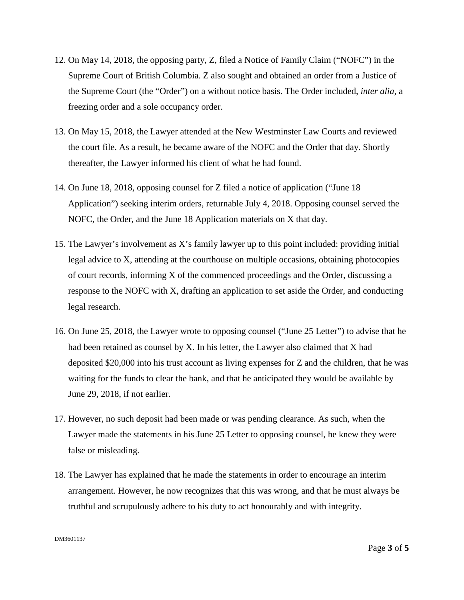- 12. On May 14, 2018, the opposing party, Z, filed a Notice of Family Claim ("NOFC") in the Supreme Court of British Columbia. Z also sought and obtained an order from a Justice of the Supreme Court (the "Order") on a without notice basis. The Order included, *inter alia*, a freezing order and a sole occupancy order.
- 13. On May 15, 2018, the Lawyer attended at the New Westminster Law Courts and reviewed the court file. As a result, he became aware of the NOFC and the Order that day. Shortly thereafter, the Lawyer informed his client of what he had found.
- 14. On June 18, 2018, opposing counsel for Z filed a notice of application ("June 18 Application") seeking interim orders, returnable July 4, 2018. Opposing counsel served the NOFC, the Order, and the June 18 Application materials on X that day.
- 15. The Lawyer's involvement as X's family lawyer up to this point included: providing initial legal advice to X, attending at the courthouse on multiple occasions, obtaining photocopies of court records, informing X of the commenced proceedings and the Order, discussing a response to the NOFC with X, drafting an application to set aside the Order, and conducting legal research.
- 16. On June 25, 2018, the Lawyer wrote to opposing counsel ("June 25 Letter") to advise that he had been retained as counsel by X. In his letter, the Lawyer also claimed that X had deposited \$20,000 into his trust account as living expenses for Z and the children, that he was waiting for the funds to clear the bank, and that he anticipated they would be available by June 29, 2018, if not earlier.
- 17. However, no such deposit had been made or was pending clearance. As such, when the Lawyer made the statements in his June 25 Letter to opposing counsel, he knew they were false or misleading.
- 18. The Lawyer has explained that he made the statements in order to encourage an interim arrangement. However, he now recognizes that this was wrong, and that he must always be truthful and scrupulously adhere to his duty to act honourably and with integrity.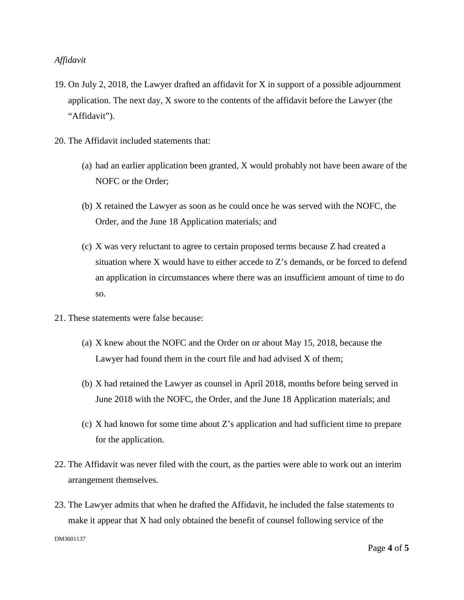- 19. On July 2, 2018, the Lawyer drafted an affidavit for X in support of a possible adjournment application. The next day, X swore to the contents of the affidavit before the Lawyer (the "Affidavit").
- 20. The Affidavit included statements that:
	- (a) had an earlier application been granted, X would probably not have been aware of the NOFC or the Order;
	- (b) X retained the Lawyer as soon as he could once he was served with the NOFC, the Order, and the June 18 Application materials; and
	- (c) X was very reluctant to agree to certain proposed terms because Z had created a situation where  $X$  would have to either accede to  $Z$ 's demands, or be forced to defend an application in circumstances where there was an insufficient amount of time to do so.
- 21. These statements were false because:
	- (a) X knew about the NOFC and the Order on or about May 15, 2018, because the Lawyer had found them in the court file and had advised X of them;
	- (b) X had retained the Lawyer as counsel in April 2018, months before being served in June 2018 with the NOFC, the Order, and the June 18 Application materials; and
	- (c) X had known for some time about Z's application and had sufficient time to prepare for the application.
- 22. The Affidavit was never filed with the court, as the parties were able to work out an interim arrangement themselves.
- 23. The Lawyer admits that when he drafted the Affidavit, he included the false statements to make it appear that X had only obtained the benefit of counsel following service of the

DM3601137